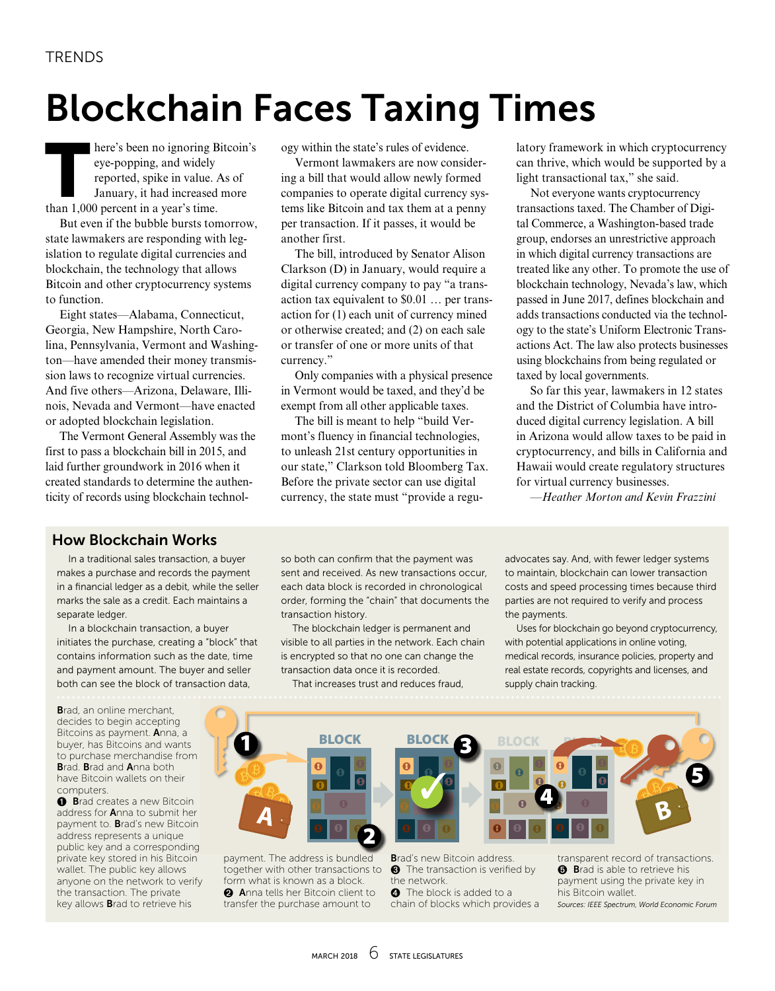## Blockchain Faces Taxing Times

here's been no ignoring Bitcoin's eye-popping, and widely reported, spike in value. As of January, it had increased more than 1,000 percent in a year's time.

But even if the bubble bursts tomorrow, state lawmakers are responding with legislation to regulate digital currencies and blockchain, the technology that allows Bitcoin and other cryptocurrency systems to function.

Eight states—Alabama, Connecticut, Georgia, New Hampshire, North Carolina, Pennsylvania, Vermont and Washington—have amended their money transmission laws to recognize virtual currencies. And five others—Arizona, Delaware, Illinois, Nevada and Vermont—have enacted or adopted blockchain legislation.

The Vermont General Assembly was the first to pass a blockchain bill in 2015, and laid further groundwork in 2016 when it created standards to determine the authenticity of records using blockchain technology within the state's rules of evidence.

Vermont lawmakers are now considering a bill that would allow newly formed companies to operate digital currency systems like Bitcoin and tax them at a penny per transaction. If it passes, it would be another first.

The bill, introduced by Senator Alison Clarkson (D) in January, would require a digital currency company to pay "a transaction tax equivalent to \$0.01 … per transaction for (1) each unit of currency mined or otherwise created; and (2) on each sale or transfer of one or more units of that currency."

Only companies with a physical presence in Vermont would be taxed, and they'd be exempt from all other applicable taxes.

The bill is meant to help "build Vermont's fluency in financial technologies, to unleash 21st century opportunities in our state," Clarkson told Bloomberg Tax. Before the private sector can use digital currency, the state must "provide a regulatory framework in which cryptocurrency can thrive, which would be supported by a light transactional tax," she said.

Not everyone wants cryptocurrency transactions taxed. The Chamber of Digital Commerce, a Washington-based trade group, endorses an unrestrictive approach in which digital currency transactions are treated like any other. To promote the use of blockchain technology, Nevada's law, which passed in June 2017, defines blockchain and adds transactions conducted via the technology to the state's Uniform Electronic Transactions Act. The law also protects businesses using blockchains from being regulated or taxed by local governments.

So far this year, lawmakers in 12 states and the District of Columbia have introduced digital currency legislation. A bill in Arizona would allow taxes to be paid in cryptocurrency, and bills in California and Hawaii would create regulatory structures for virtual currency businesses.

*—Heather Morton and Kevin Frazzini*

#### How Blockchain Works

In a traditional sales transaction, a buyer makes a purchase and records the payment in a financial ledger as a debit, while the seller marks the sale as a credit. Each maintains a separate ledger.

In a blockchain transaction, a buyer initiates the purchase, creating a "block" that contains information such as the date, time and payment amount. The buyer and seller both can see the block of transaction data,

Brad, an online merchant, decides to begin accepting Bitcoins as payment. Anna, a buyer, has Bitcoins and wants to purchase merchandise from Brad. Brad and Anna both have Bitcoin wallets on their computers.

**O** Brad creates a new Bitcoin address for Anna to submit her payment to. Brad's new Bitcoin address represents a unique public key and a corresponding private key stored in his Bitcoin wallet. The public key allows anyone on the network to verify the transaction. The private key allows Brad to retrieve his

so both can confirm that the payment was sent and received. As new transactions occur, each data block is recorded in chronological order, forming the "chain" that documents the transaction history.

The blockchain ledger is permanent and visible to all parties in the network. Each chain is encrypted so that no one can change the transaction data once it is recorded.

That increases trust and reduces fraud,

advocates say. And, with fewer ledger systems to maintain, blockchain can lower transaction costs and speed processing times because third parties are not required to verify and process the payments.

Uses for blockchain go beyond cryptocurrency, with potential applications in online voting, medical records, insurance policies, property and real estate records, copyrights and licenses, and supply chain tracking.



payment. The address is bundled together with other transactions to form what is known as a block. Anna tells her Bitcoin client to transfer the purchase amount to

Brad's new Bitcoin address. **8** The transaction is verified by the network. **O** The block is added to a chain of blocks which provides a transparent record of transactions. **a** Brad is able to retrieve his payment using the private key in his Bitcoin wallet. *Sources: IEEE Spectrum, World Economic Forum*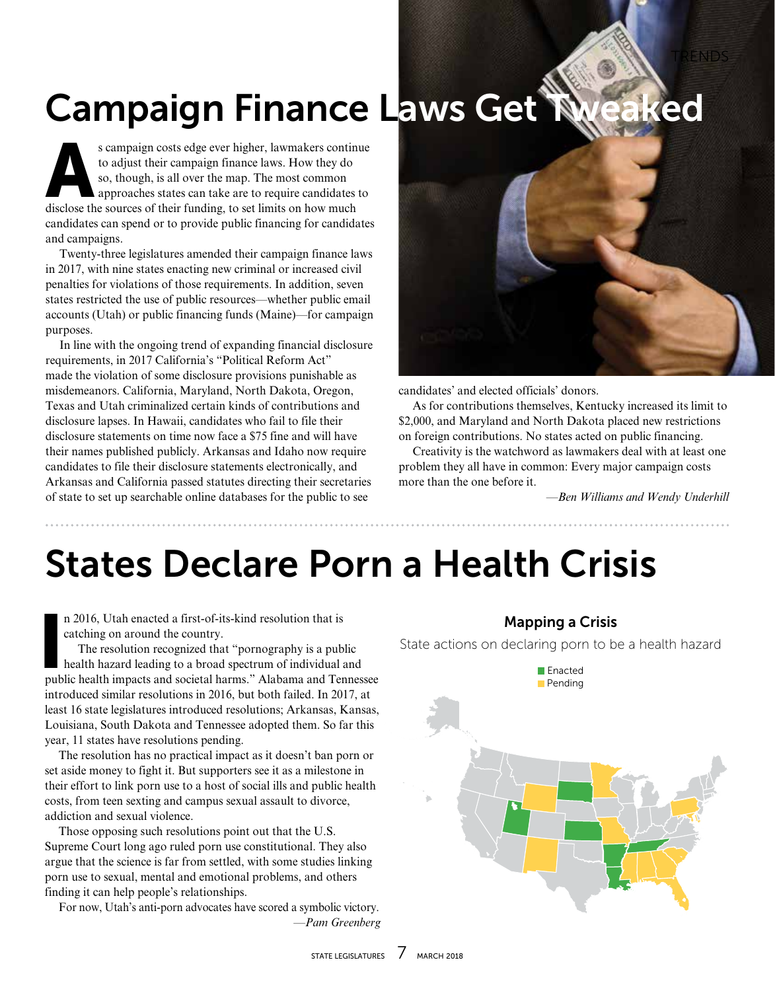# Campaign Finance Laws Get Tweaked

s campaign costs edge ever higher, lawmakers continue<br>to adjust their campaign finance laws. How they do<br>so, though, is all over the map. The most common<br>approaches states can take are to require candidates to<br>disclose the to adjust their campaign finance laws. How they do so, though, is all over the map. The most common approaches states can take are to require candidates to disclose the sources of their funding, to set limits on how much candidates can spend or to provide public financing for candidates and campaigns.

Twenty-three legislatures amended their campaign finance laws in 2017, with nine states enacting new criminal or increased civil penalties for violations of those requirements. In addition, seven states restricted the use of public resources—whether public email accounts (Utah) or public financing funds (Maine)—for campaign purposes.

In line with the ongoing trend of expanding financial disclosure requirements, in 2017 California's "Political Reform Act" made the violation of some disclosure provisions punishable as misdemeanors. California, Maryland, North Dakota, Oregon, Texas and Utah criminalized certain kinds of contributions and disclosure lapses. In Hawaii, candidates who fail to file their disclosure statements on time now face a \$75 fine and will have their names published publicly. Arkansas and Idaho now require candidates to file their disclosure statements electronically, and Arkansas and California passed statutes directing their secretaries of state to set up searchable online databases for the public to see



candidates' and elected officials' donors.

As for contributions themselves, Kentucky increased its limit to \$2,000, and Maryland and North Dakota placed new restrictions on foreign contributions. No states acted on public financing.

Creativity is the watchword as lawmakers deal with at least one problem they all have in common: Every major campaign costs more than the one before it.

*—Ben Williams and Wendy Underhill*

TRENDS

### States Declare Porn a Health Crisis

n 2016, Utah enacted a first-of-its-kind resolution that is catching on around the country.

n 2016, Utah enacted a first-of-its-kind resolution that is<br>catching on around the country.<br>The resolution recognized that "pornography is a public<br>health hazard leading to a broad spectrum of individual and<br>public health The resolution recognized that "pornography is a public health hazard leading to a broad spectrum of individual and introduced similar resolutions in 2016, but both failed. In 2017, at least 16 state legislatures introduced resolutions; Arkansas, Kansas, Louisiana, South Dakota and Tennessee adopted them. So far this year, 11 states have resolutions pending.

The resolution has no practical impact as it doesn't ban porn or set aside money to fight it. But supporters see it as a milestone in their effort to link porn use to a host of social ills and public health costs, from teen sexting and campus sexual assault to divorce, addiction and sexual violence.

Those opposing such resolutions point out that the U.S. Supreme Court long ago ruled porn use constitutional. They also argue that the science is far from settled, with some studies linking porn use to sexual, mental and emotional problems, and others finding it can help people's relationships.

For now, Utah's anti-porn advocates have scored a symbolic victory. *—Pam Greenberg*

#### Mapping a Crisis

State actions on declaring porn to be a health hazard